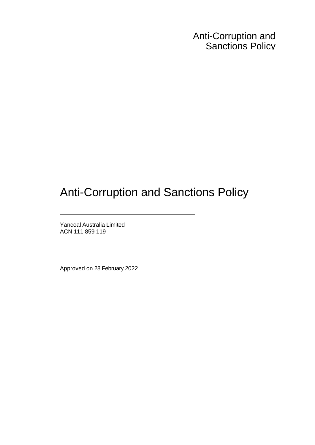Anti-Corruption and Sanctions Policy

# Anti-Corruption and Sanctions Policy

Yancoal Australia Limited ACN 111 859 119

Approved on 28 February 2022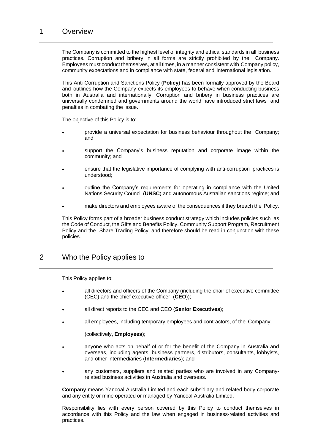The Company is committed to the highest level of integrity and ethical standards in all business practices. Corruption and bribery in all forms are strictly prohibited by the Company. Employees must conduct themselves, at all times, in a manner consistent with Company policy, community expectations and in compliance with state, federal and international legislation.

This Anti-Corruption and Sanctions Policy (**Policy**) has been formally approved by the Board and outlines how the Company expects its employees to behave when conducting business both in Australia and internationally. Corruption and bribery in business practices are universally condemned and governments around the world have introduced strict laws and penalties in combating the issue.

The objective of this Policy is to:

- provide a universal expectation for business behaviour throughout the Company; and
- support the Company's business reputation and corporate image within the community; and
- ensure that the legislative importance of complying with anti-corruption practices is understood;
- outline the Company's requirements for operating in compliance with the United Nations Security Council (**UNSC**) and autonomous Australian sanctions regime; and
- make directors and employees aware of the consequences if they breach the Policy.

This Policy forms part of a broader business conduct strategy which includes policies such as the Code of Conduct, the Gifts and Benefits Policy, Community Support Program, Recruitment Policy and the Share Trading Policy, and therefore should be read in conjunction with these policies.

## 2 Who the Policy applies to

This Policy applies to:

- all directors and officers of the Company (including the chair of executive committee (CEC) and the chief executive officer (**CEO**));
- all direct reports to the CEC and CEO (**Senior Executives**);
- all employees, including temporary employees and contractors, of the Company,

(collectively, **Employees**);

- anyone who acts on behalf of or for the benefit of the Company in Australia and overseas, including agents, business partners, distributors, consultants, lobbyists, and other intermediaries (**Intermediaries**); and
- any customers, suppliers and related parties who are involved in any Companyrelated business activities in Australia and overseas.

**Company** means Yancoal Australia Limited and each subsidiary and related body corporate and any entity or mine operated or managed by Yancoal Australia Limited.

Responsibility lies with every person covered by this Policy to conduct themselves in accordance with this Policy and the law when engaged in business-related activities and practices.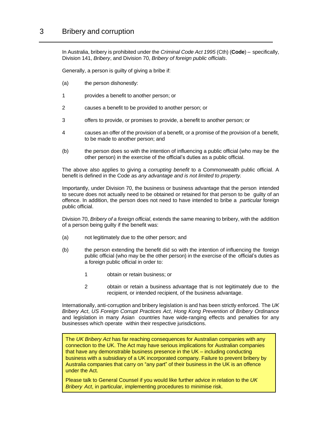## 3 Bribery and corruption

In Australia, bribery is prohibited under the *Criminal Code Act 1995* (Cth) (**Code**) – specifically, Division 141, *Bribery*, and Division 70, *Bribery of foreign public officials*.

Generally, a person is guilty of giving a bribe if:

- (a) the person dishonestly:
- 1 provides a benefit to another person; or
- 2 causes a benefit to be provided to another person; or
- 3 offers to provide, or promises to provide, a benefit to another person; or
- 4 causes an offer of the provision of a benefit, or a promise of the provision of a benefit, to be made to another person; and
- (b) the person does so with the intention of influencing a public official (who may be the other person) in the exercise of the official's duties as a public official.

The above also applies to giving a *corrupting benefit* to a Commonwealth public official. A benefit is defined in the Code as *any advantage and is not limited to property.*

Importantly, under Division 70, the business or business advantage that the person intended to secure does not actually need to be obtained or retained for that person to be guilty of an offence. In addition, the person does not need to have intended to bribe a *particular* foreign public official.

Division 70, *Bribery of a foreign official*, extends the same meaning to bribery, with the addition of a person being guilty if the benefit was:

- (a) not legitimately due to the other person; and
- (b) the person extending the benefit did so with the intention of influencing the foreign public official (who may be the other person) in the exercise of the official's duties as a foreign public official in order to:
	- 1 obtain or retain business; or
	- 2 obtain or retain a business advantage that is not legitimately due to the recipient, or intended recipient, of the business advantage.

Internationally, anti-corruption and bribery legislation is and has been strictly enforced. The *UK Bribery Act*, *US Foreign Corrupt Practices Act*, *Hong Kong Prevention of Bribery Ordinance* and legislation in many Asian countries have wide-ranging effects and penalties for any businesses which operate within their respective jurisdictions.

The *UK Bribery Act* has far reaching consequences for Australian companies with any connection to the UK. The Act may have serious implications for Australian companies that have any demonstrable business presence in the UK – including conducting business with a subsidiary of a UK incorporated company. Failure to prevent bribery by Australia companies that carry on "any part" of their business in the UK is an offence under the Act.

Please talk to General Counsel if you would like further advice in relation to the *UK Bribery Act*, in particular, implementing procedures to minimise risk.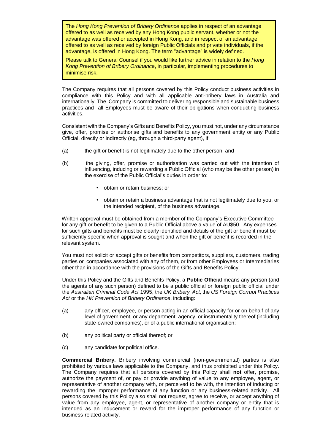The *Hong Kong Prevention of Bribery Ordinance* applies in respect of an advantage offered to as well as received by any Hong Kong public servant, whether or not the advantage was offered or accepted in Hong Kong, and in respect of an advantage offered to as well as received by foreign Public Officials and private individuals, if the advantage, is offered in Hong Kong. The term "advantage" is widely defined.

Please talk to General Counsel if you would like further advice in relation to the *Hong Kong Prevention of Bribery Ordinance*, in particular, implementing procedures to minimise risk.

The Company requires that all persons covered by this Policy conduct business activities in compliance with this Policy and with all applicable anti-bribery laws in Australia and internationally. The Company is committed to delivering responsible and sustainable business practices and all Employees must be aware of their obligations when conducting business activities.

Consistent with the Company's Gifts and Benefits Policy, you must not, under any circumstance give, offer, promise or authorise gifts and benefits to any government entity or any Public Official, directly or indirectly (eg, through a third-party agent), if:

- (a) the gift or benefit is not legitimately due to the other person; and
- (b) the giving, offer, promise or authorisation was carried out with the intention of influencing, inducing or rewarding a Public Official (who may be the other person) in the exercise of the Public Official's duties in order to:
	- obtain or retain business; or
	- obtain or retain a business advantage that is not legitimately due to you, or the intended recipient, of the business advantage.

Written approval must be obtained from a member of the Company's Executive Committee for any gift or benefit to be given to a Public Official above a value of AU\$50. Any expenses for such gifts and benefits must be clearly identified and details of the gift or benefit must be sufficiently specific when approval is sought and when the gift or benefit is recorded in the relevant system.

You must not solicit or accept gifts or benefits from competitors, suppliers, customers, trading parties or companies associated with any of them, or from other Employees or Intermediaries other than in accordance with the provisions of the Gifts and Benefits Policy.

Under this Policy and the Gifts and Benefits Policy, a **Public Official** means any person (and the agents of any such person) defined to be a public official or foreign public official under the *Australian Criminal Code Act* 1995, the *UK Bribery Act*, the *US Foreign Corrupt Practices Act* or the *HK Prevention of Bribery Ordinance*, including:

- (a) any officer, employee, or person acting in an official capacity for or on behalf of any level of government, or any department, agency, or instrumentality thereof (including state-owned companies), or of a public international organisation;
- (b) any political party or official thereof; or
- (c) any candidate for political office.

**Commercial Bribery.** Bribery involving commercial (non-governmental) parties is also prohibited by various laws applicable to the Company, and thus prohibited under this Policy. The Company requires that all persons covered by this Policy shall **not** offer, promise, authorize the payment of, or pay or provide anything of value to any employee, agent, or representative of another company with, or perceived to be with, the intention of inducing or rewarding the improper performance of any function or any business-related activity. All persons covered by this Policy also shall not request, agree to receive, or accept anything of value from any employee, agent, or representative of another company or entity that is intended as an inducement or reward for the improper performance of any function or business-related activity.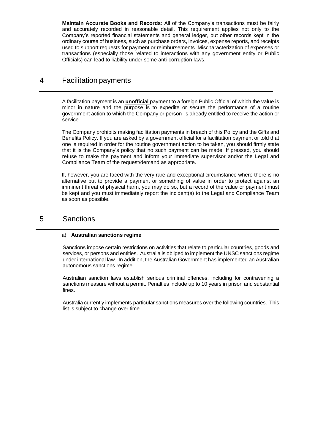**Maintain Accurate Books and Records**: All of the Company's transactions must be fairly and accurately recorded in reasonable detail. This requirement applies not only to the Company's reported financial statements and general ledger, but other records kept in the ordinary course of business, such as purchase orders, invoices, expense reports, and receipts used to support requests for payment or reimbursements. Mischaracterization of expenses or transactions (especially those related to interactions with any government entity or Public Officials) can lead to liability under some anti-corruption laws.

# 4 Facilitation payments

A facilitation payment is an **unofficial** payment to a foreign Public Official of which the value is minor in nature and the purpose is to expedite or secure the performance of a routine government action to which the Company or person is already entitled to receive the action or service.

The Company prohibits making facilitation payments in breach of this Policy and the Gifts and Benefits Policy. If you are asked by a government official for a facilitation payment or told that one is required in order for the routine government action to be taken, you should firmly state that it is the Company's policy that no such payment can be made. If pressed, you should refuse to make the payment and inform your immediate supervisor and/or the Legal and Compliance Team of the request/demand as appropriate.

If, however, you are faced with the very rare and exceptional circumstance where there is no alternative but to provide a payment or something of value in order to protect against an imminent threat of physical harm, you may do so, but a record of the value or payment must be kept and you must immediately report the incident(s) to the Legal and Compliance Team as soon as possible.

## 5 Sanctions

#### a) **Australian sanctions regime**

Sanctions impose certain restrictions on activities that relate to particular countries, goods and services, or persons and entities. Australia is obliged to implement the UNSC sanctions regime under international law. In addition, the Australian Government has implemented an Australian autonomous sanctions regime.

Australian sanction laws establish serious criminal offences, including for contravening a sanctions measure without a permit. Penalties include up to 10 years in prison and substantial fines.

Australia currently implements particular sanctions measures over the following countries. This list is subject to change over time.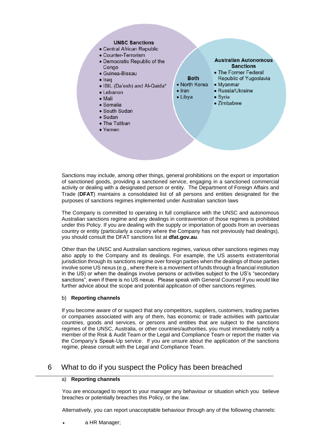#### **UNSC Sanctions**

- Central African Republic
- Counter-Terrorism
- Democratic Republic of the Congo
- · Guinea-Bissau
- $\bullet$  Iraq
- · ISIL (Da'esh) and Al-Qaida\*
- Lebanon
- $\bullet$  Mali
- $\bullet$  Somalia
- South Sudan
- $\bullet$  Sudan
- The Taliban
- $\bullet$  Yemen



**Australian Autonomous** 

Sanctions may include, among other things, general prohibitions on the export or importation of sanctioned goods, providing a sanctioned service, engaging in a sanctioned commercial activity or dealing with a designated person or entity. The Department of Foreign Affairs and Trade (**DFAT**) maintains a consolidated list of all persons and entities designated for the purposes of sanctions regimes implemented under Australian sanction laws

The Company is committed to operating in full compliance with the UNSC and autonomous Australian sanctions regime and any dealings in contravention of those regimes is prohibited under this Policy. If you are dealing with the supply or importation of goods from an overseas country or entity (particularly a country where the Company has not previously had dealings), you should consult the DFAT sanctions list at **dfat.gov.au**.

Other than the UNSC and Australian sanctions regimes, various other sanctions regimes may also apply to the Company and its dealings. For example, the US asserts extraterritorial jurisdiction through its sanctions regime over foreign parties when the dealings of those parties involve some US nexus (e.g., where there is a movement of funds through a financial institution in the US) or when the dealings involve persons or activities subject to the US's "secondary sanctions", even if there is no US nexus. Please speak with General Counsel if you would like further advice about the scope and potential application of other sanctions regimes.

#### b) **Reporting channels**

If you become aware of or suspect that any competitors, suppliers, customers, trading parties or companies associated with any of them, has economic or trade activities with particular countries, goods and services, or persons and entities that are subject to the sanctions regimes of the UNSC, Australia, or other countries/authorities, you must immediately notify a member of the Risk & Audit Team or the Legal and Compliance Team or report the matter via the Company's Speak-Up service. If you are unsure about the application of the sanctions regime, please consult with the Legal and Compliance Team.

## 6 What to do if you suspect the Policy has been breached

#### a) **Reporting channels**

You are encouraged to report to your manager any behaviour or situation which you believe breaches or potentially breaches this Policy, or the law.

Alternatively, you can report unacceptable behaviour through any of the following channels:

• a HR Manager;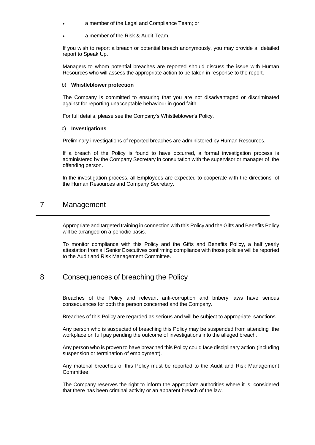- a member of the Legal and Compliance Team; or
- a member of the Risk & Audit Team.

If you wish to report a breach or potential breach anonymously, you may provide a detailed report to Speak Up.

Managers to whom potential breaches are reported should discuss the issue with Human Resources who will assess the appropriate action to be taken in response to the report.

#### b) **Whistleblower protection**

The Company is committed to ensuring that you are not disadvantaged or discriminated against for reporting unacceptable behaviour in good faith.

For full details, please see the Company's Whistleblower's Policy.

#### c) **Investigations**

Preliminary investigations of reported breaches are administered by Human Resources.

If a breach of the Policy is found to have occurred, a formal investigation process is administered by the Company Secretary in consultation with the supervisor or manager of the offending person.

In the investigation process, all Employees are expected to cooperate with the directions of the Human Resources and Company Secretary**.**

#### 7 Management

Appropriate and targeted training in connection with this Policy and the Gifts and Benefits Policy will be arranged on a periodic basis.

To monitor compliance with this Policy and the Gifts and Benefits Policy, a half yearly attestation from all Senior Executives confirming compliance with those policies will be reported to the Audit and Risk Management Committee.

## 8 Consequences of breaching the Policy

Breaches of the Policy and relevant anti-corruption and bribery laws have serious consequences for both the person concerned and the Company.

Breaches of this Policy are regarded as serious and will be subject to appropriate sanctions.

Any person who is suspected of breaching this Policy may be suspended from attending the workplace on full pay pending the outcome of investigations into the alleged breach.

Any person who is proven to have breached this Policy could face disciplinary action (including suspension or termination of employment).

Any material breaches of this Policy must be reported to the Audit and Risk Management Committee.

The Company reserves the right to inform the appropriate authorities where it is considered that there has been criminal activity or an apparent breach of the law.